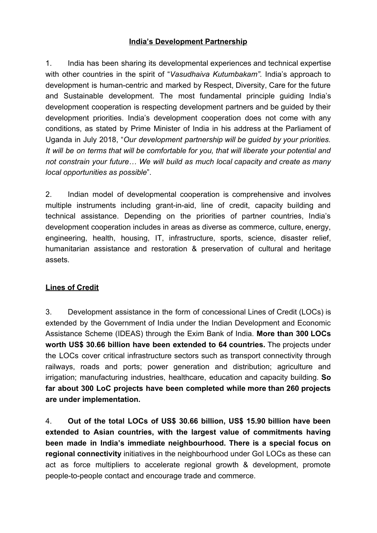# **India's Development Partnership**

1. India has been sharing its developmental experiences and technical expertise with other countries in the spirit of "*Vasudhaiva Kutumbakam".* India's approach to development is human-centric and marked by Respect, Diversity, Care for the future and Sustainable development. The most fundamental principle guiding India's development cooperation is respecting development partners and be guided by their development priorities. India's development cooperation does not come with any conditions, as stated by Prime Minister of India in his address at the Parliament of Uganda in July 2018, "*Our development partnership will be guided by your priorities. It will be on terms that will be comfortable for you, that will liberate your potential and not constrain your future… We will build as much local capacity and create as many local opportunities as possible*".

2. Indian model of developmental cooperation is comprehensive and involves multiple instruments including grant-in-aid, line of credit, capacity building and technical assistance. Depending on the priorities of partner countries, India's development cooperation includes in areas as diverse as commerce, culture, energy, engineering, health, housing, IT, infrastructure, sports, science, disaster relief, humanitarian assistance and restoration & preservation of cultural and heritage assets.

# **Lines of Credit**

3. Development assistance in the form of concessional Lines of Credit (LOCs) is extended by the Government of India under the Indian Development and Economic Assistance Scheme (IDEAS) through the Exim Bank of India. **More than 300 LOCs worth US\$ 30.66 billion have been extended to 64 countries.** The projects under the LOCs cover critical infrastructure sectors such as transport connectivity through railways, roads and ports; power generation and distribution; agriculture and irrigation; manufacturing industries, healthcare, education and capacity building. **So far about 300 LoC projects have been completed while more than 260 projects are under implementation.**

4. **Out of the total LOCs of US\$ 30.66 billion, US\$ 15.90 billion have been extended to Asian countries, with the largest value of commitments having been made in India's immediate neighbourhood. There is a special focus on regional connectivity** initiatives in the neighbourhood under GoI LOCs as these can act as force multipliers to accelerate regional growth & development, promote people-to-people contact and encourage trade and commerce.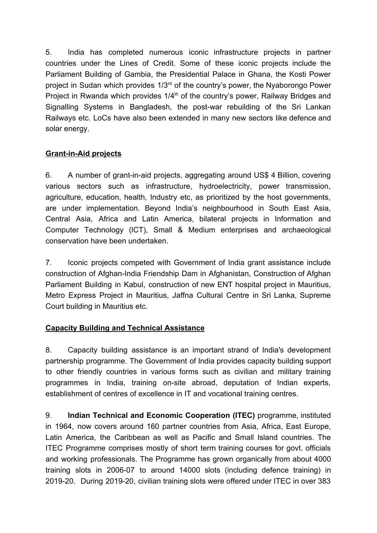5. India has completed numerous iconic infrastructure projects in partner countries under the Lines of Credit. Some of these iconic projects include the Parliament Building of Gambia, the Presidential Palace in Ghana, the Kosti Power project in Sudan which provides 1/3rd of the country's power, the Nyaborongo Power Project in Rwanda which provides 1/4<sup>th</sup> of the country's power, Railway Bridges and Signalling Systems in Bangladesh, the post-war rebuilding of the Sri Lankan Railways etc. LoCs have also been extended in many new sectors like defence and solar energy.

# **Grant-in-Aid projects**

6. A number of grant-in-aid projects, aggregating around US\$ 4 Billion, covering various sectors such as infrastructure, hydroelectricity, power transmission, agriculture, education, health, Industry etc, as prioritized by the host governments, are under implementation. Beyond India's neighbourhood in South East Asia, Central Asia, Africa and Latin America, bilateral projects in Information and Computer Technology (lCT), Small & Medium enterprises and archaeological conservation have been undertaken.

7. Iconic projects competed with Government of India grant assistance include construction of Afghan-India Friendship Dam in Afghanistan, Construction of Afghan Parliament Building in Kabul, construction of new ENT hospital project in Mauritius, Metro Express Project in Mauritius, Jaffna Cultural Centre in Sri Lanka, Supreme Court building in Mauritius etc.

# **Capacity Building and Technical Assistance**

8. Capacity building assistance is an important strand of India's development partnership programme. The Government of India provides capacity building support to other friendly countries in various forms such as civilian and military training programmes in India, training on-site abroad, deputation of Indian experts, establishment of centres of excellence in IT and vocational training centres.

9. **Indian Technical and Economic Cooperation (ITEC)** programme, instituted in 1964, now covers around 160 partner countries from Asia, Africa, East Europe, Latin America, the Caribbean as well as Pacific and Small Island countries. The ITEC Programme comprises mostly of short term training courses for govt. officials and working professionals. The Programme has grown organically from about 4000 training slots in 2006-07 to around 14000 slots (including defence training) in 2019-20. During 2019-20, civilian training slots were offered under ITEC in over 383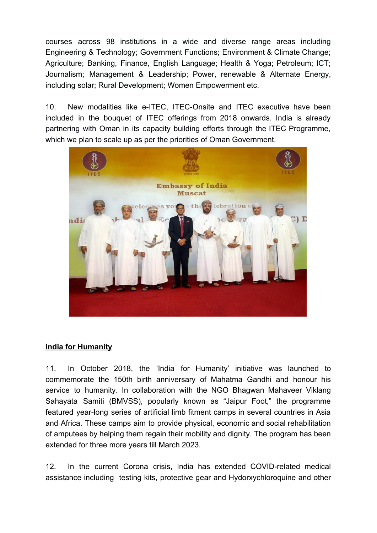courses across 98 institutions in a wide and diverse range areas including Engineering & Technology; Government Functions; Environment & Climate Change; Agriculture; Banking, Finance, English Language; Health & Yoga; Petroleum; ICT; Journalism; Management & Leadership; Power, renewable & Alternate Energy, including solar; Rural Development; Women Empowerment etc.

10. New modalities like e-ITEC, ITEC-Onsite and ITEC executive have been included in the bouquet of ITEC offerings from 2018 onwards. India is already partnering with Oman in its capacity building efforts through the ITEC Programme, which we plan to scale up as per the priorities of Oman Government.



### **India for Humanity**

11. In October 2018, the 'India for Humanity' initiative was launched to commemorate the 150th birth anniversary of Mahatma Gandhi and honour his service to humanity. In collaboration with the NGO Bhagwan Mahaveer Viklang Sahayata Samiti (BMVSS), popularly known as "Jaipur Foot," the programme featured year-long series of artificial limb fitment camps in several countries in Asia and Africa. These camps aim to provide physical, economic and social rehabilitation of amputees by helping them regain their mobility and dignity. The program has been extended for three more years till March 2023.

12. In the current Corona crisis, India has extended COVID-related medical assistance including testing kits, protective gear and Hydorxychloroquine and other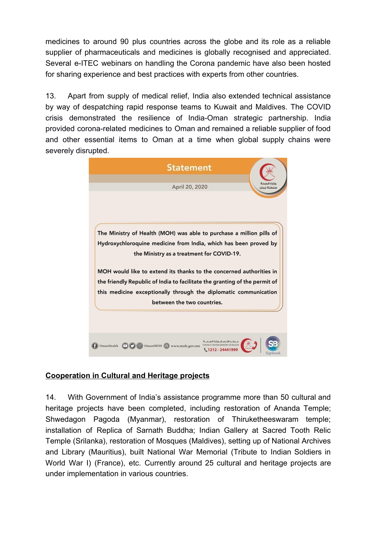medicines to around 90 plus countries across the globe and its role as a reliable supplier of pharmaceuticals and medicines is globally recognised and appreciated. Several e-ITEC webinars on handling the Corona pandemic have also been hosted for sharing experience and best practices with experts from other countries.

13. Apart from supply of medical relief, India also extended technical assistance by way of despatching rapid response teams to Kuwait and Maldives. The COVID crisis demonstrated the resilience of India-Oman strategic partnership. India provided corona-related medicines to Oman and remained a reliable supplier of food and other essential items to Oman at a time when global supply chains were severely disrupted.



### **Cooperation in Cultural and Heritage projects**

14. With Government of India's assistance programme more than 50 cultural and heritage projects have been completed, including restoration of Ananda Temple; Shwedagon Pagoda (Myanmar), restoration of Thiruketheeswaram temple; installation of Replica of Sarnath Buddha; Indian Gallery at Sacred Tooth Relic Temple (Srilanka), restoration of Mosques (Maldives), setting up of National Archives and Library (Mauritius), built National War Memorial (Tribute to Indian Soldiers in World War I) (France), etc. Currently around 25 cultural and heritage projects are under implementation in various countries.